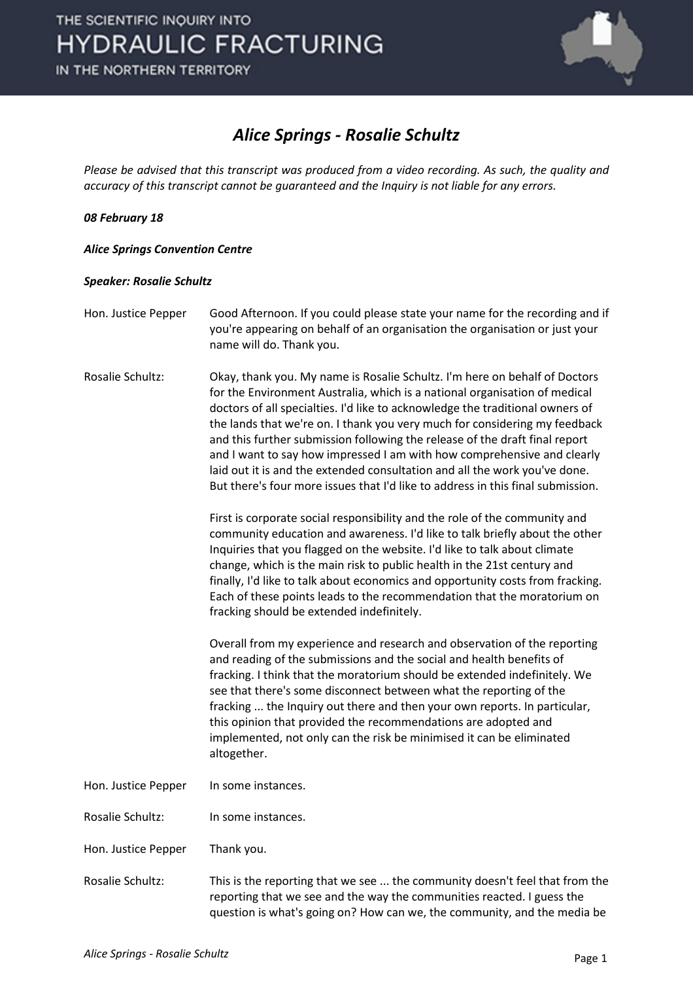

### *Alice Springs - Rosalie Schultz*

*Please be advised that this transcript was produced from a video recording. As such, the quality and accuracy of this transcript cannot be guaranteed and the Inquiry is not liable for any errors.*

#### *08 February 18*

#### *Alice Springs Convention Centre*

#### *Speaker: Rosalie Schultz*

- Hon. Justice Pepper Good Afternoon. If you could please state your name for the recording and if you're appearing on behalf of an organisation the organisation or just your name will do. Thank you.
- Rosalie Schultz: Okay, thank you. My name is Rosalie Schultz. I'm here on behalf of Doctors for the Environment Australia, which is a national organisation of medical doctors of all specialties. I'd like to acknowledge the traditional owners of the lands that we're on. I thank you very much for considering my feedback and this further submission following the release of the draft final report and I want to say how impressed I am with how comprehensive and clearly laid out it is and the extended consultation and all the work you've done. But there's four more issues that I'd like to address in this final submission.

First is corporate social responsibility and the role of the community and community education and awareness. I'd like to talk briefly about the other Inquiries that you flagged on the website. I'd like to talk about climate change, which is the main risk to public health in the 21st century and finally, I'd like to talk about economics and opportunity costs from fracking. Each of these points leads to the recommendation that the moratorium on fracking should be extended indefinitely.

Overall from my experience and research and observation of the reporting and reading of the submissions and the social and health benefits of fracking. I think that the moratorium should be extended indefinitely. We see that there's some disconnect between what the reporting of the fracking ... the Inquiry out there and then your own reports. In particular, this opinion that provided the recommendations are adopted and implemented, not only can the risk be minimised it can be eliminated altogether.

Hon. Justice Pepper In some instances.

Rosalie Schultz: In some instances.

- Hon. Justice Pepper Thank you.
- Rosalie Schultz: This is the reporting that we see ... the community doesn't feel that from the reporting that we see and the way the communities reacted. I guess the question is what's going on? How can we, the community, and the media be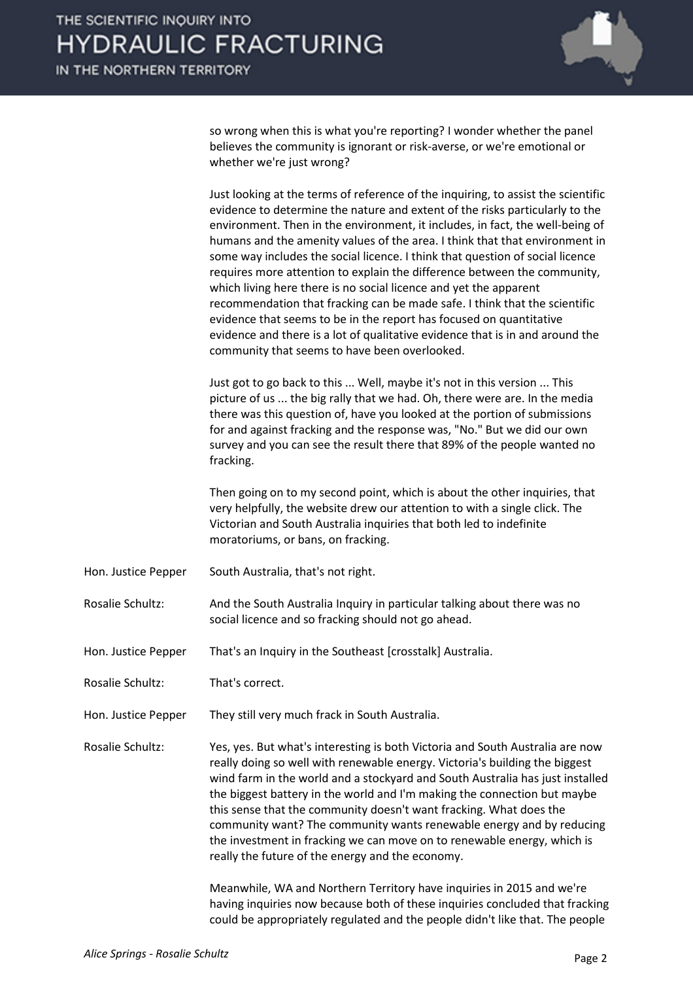so wrong when this is what you're reporting? I wonder whether the panel believes the community is ignorant or risk-averse, or we're emotional or whether we're just wrong?

| Just looking at the terms of reference of the inquiring, to assist the scientific |
|-----------------------------------------------------------------------------------|
| evidence to determine the nature and extent of the risks particularly to the      |
| environment. Then in the environment, it includes, in fact, the well-being of     |
| humans and the amenity values of the area. I think that that environment in       |
| some way includes the social licence. I think that question of social licence     |
| requires more attention to explain the difference between the community,          |
| which living here there is no social licence and yet the apparent                 |
| recommendation that fracking can be made safe. I think that the scientific        |
| evidence that seems to be in the report has focused on quantitative               |
| evidence and there is a lot of qualitative evidence that is in and around the     |
| community that seems to have been overlooked.                                     |

Just got to go back to this ... Well, maybe it's not in this version ... This picture of us ... the big rally that we had. Oh, there were are. In the media there was this question of, have you looked at the portion of submissions for and against fracking and the response was, "No." But we did our own survey and you can see the result there that 89% of the people wanted no fracking.

Then going on to my second point, which is about the other inquiries, that very helpfully, the website drew our attention to with a single click. The Victorian and South Australia inquiries that both led to indefinite moratoriums, or bans, on fracking.

- Hon. Justice Pepper South Australia, that's not right.
- Rosalie Schultz: And the South Australia Inquiry in particular talking about there was no social licence and so fracking should not go ahead.
- Hon. Justice Pepper That's an Inquiry in the Southeast [crosstalk] Australia.
- Rosalie Schultz: That's correct.
- Hon. Justice Pepper They still very much frack in South Australia.

Rosalie Schultz: Yes, yes. But what's interesting is both Victoria and South Australia are now really doing so well with renewable energy. Victoria's building the biggest wind farm in the world and a stockyard and South Australia has just installed the biggest battery in the world and I'm making the connection but maybe this sense that the community doesn't want fracking. What does the community want? The community wants renewable energy and by reducing the investment in fracking we can move on to renewable energy, which is really the future of the energy and the economy.

> Meanwhile, WA and Northern Territory have inquiries in 2015 and we're having inquiries now because both of these inquiries concluded that fracking could be appropriately regulated and the people didn't like that. The people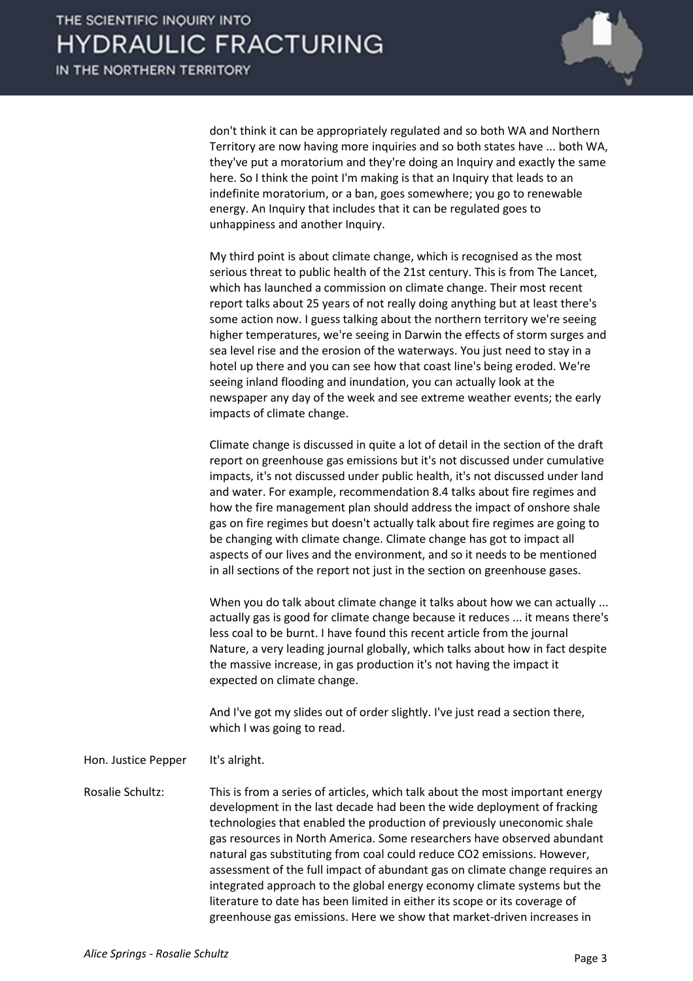don't think it can be appropriately regulated and so both WA and Northern Territory are now having more inquiries and so both states have ... both WA, they've put a moratorium and they're doing an Inquiry and exactly the same here. So I think the point I'm making is that an Inquiry that leads to an indefinite moratorium, or a ban, goes somewhere; you go to renewable energy. An Inquiry that includes that it can be regulated goes to unhappiness and another Inquiry.

My third point is about climate change, which is recognised as the most serious threat to public health of the 21st century. This is from The Lancet, which has launched a commission on climate change. Their most recent report talks about 25 years of not really doing anything but at least there's some action now. I guess talking about the northern territory we're seeing higher temperatures, we're seeing in Darwin the effects of storm surges and sea level rise and the erosion of the waterways. You just need to stay in a hotel up there and you can see how that coast line's being eroded. We're seeing inland flooding and inundation, you can actually look at the newspaper any day of the week and see extreme weather events; the early impacts of climate change.

Climate change is discussed in quite a lot of detail in the section of the draft report on greenhouse gas emissions but it's not discussed under cumulative impacts, it's not discussed under public health, it's not discussed under land and water. For example, recommendation 8.4 talks about fire regimes and how the fire management plan should address the impact of onshore shale gas on fire regimes but doesn't actually talk about fire regimes are going to be changing with climate change. Climate change has got to impact all aspects of our lives and the environment, and so it needs to be mentioned in all sections of the report not just in the section on greenhouse gases.

When you do talk about climate change it talks about how we can actually ... actually gas is good for climate change because it reduces ... it means there's less coal to be burnt. I have found this recent article from the journal Nature, a very leading journal globally, which talks about how in fact despite the massive increase, in gas production it's not having the impact it expected on climate change.

And I've got my slides out of order slightly. I've just read a section there, which I was going to read.

Hon. Justice Pepper It's alright.

Rosalie Schultz: This is from a series of articles, which talk about the most important energy development in the last decade had been the wide deployment of fracking technologies that enabled the production of previously uneconomic shale gas resources in North America. Some researchers have observed abundant natural gas substituting from coal could reduce CO2 emissions. However, assessment of the full impact of abundant gas on climate change requires an integrated approach to the global energy economy climate systems but the literature to date has been limited in either its scope or its coverage of greenhouse gas emissions. Here we show that market-driven increases in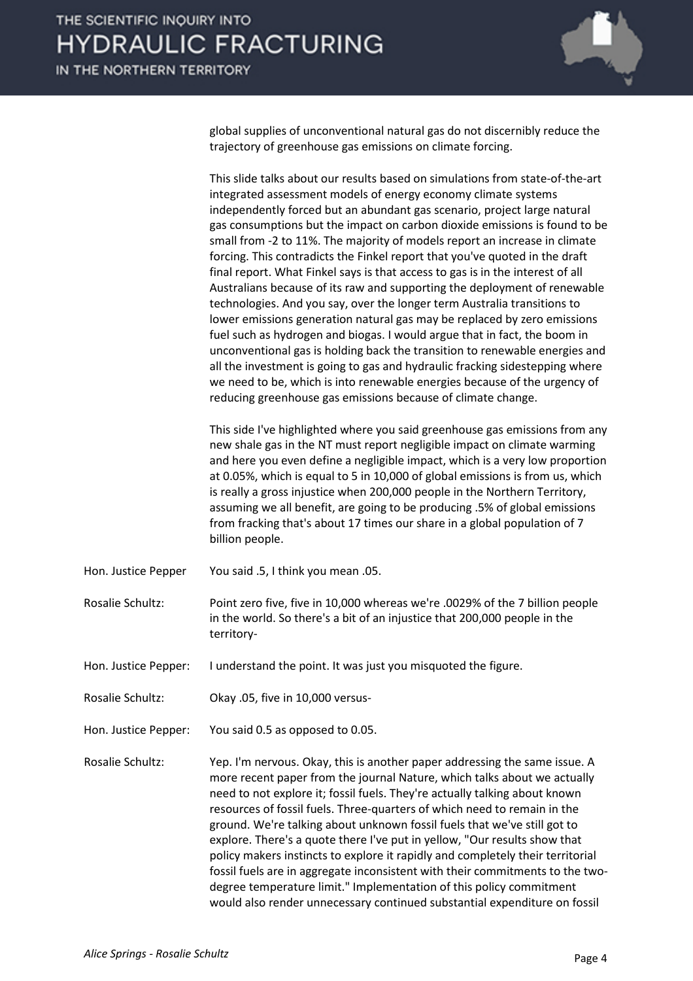

global supplies of unconventional natural gas do not discernibly reduce the trajectory of greenhouse gas emissions on climate forcing.

This slide talks about our results based on simulations from state-of-the-art integrated assessment models of energy economy climate systems independently forced but an abundant gas scenario, project large natural gas consumptions but the impact on carbon dioxide emissions is found to be small from -2 to 11%. The majority of models report an increase in climate forcing. This contradicts the Finkel report that you've quoted in the draft final report. What Finkel says is that access to gas is in the interest of all Australians because of its raw and supporting the deployment of renewable technologies. And you say, over the longer term Australia transitions to lower emissions generation natural gas may be replaced by zero emissions fuel such as hydrogen and biogas. I would argue that in fact, the boom in unconventional gas is holding back the transition to renewable energies and all the investment is going to gas and hydraulic fracking sidestepping where we need to be, which is into renewable energies because of the urgency of reducing greenhouse gas emissions because of climate change.

This side I've highlighted where you said greenhouse gas emissions from any new shale gas in the NT must report negligible impact on climate warming and here you even define a negligible impact, which is a very low proportion at 0.05%, which is equal to 5 in 10,000 of global emissions is from us, which is really a gross injustice when 200,000 people in the Northern Territory, assuming we all benefit, are going to be producing .5% of global emissions from fracking that's about 17 times our share in a global population of 7 billion people.

Hon. Justice Pepper You said .5, I think you mean .05.

Rosalie Schultz: Point zero five, five in 10,000 whereas we're .0029% of the 7 billion people in the world. So there's a bit of an injustice that 200,000 people in the territory-

Hon. Justice Pepper: I understand the point. It was just you misquoted the figure.

Rosalie Schultz: Okay .05, five in 10,000 versus-

Hon. Justice Pepper: You said 0.5 as opposed to 0.05.

Rosalie Schultz: Yep. I'm nervous. Okay, this is another paper addressing the same issue. A more recent paper from the journal Nature, which talks about we actually need to not explore it; fossil fuels. They're actually talking about known resources of fossil fuels. Three-quarters of which need to remain in the ground. We're talking about unknown fossil fuels that we've still got to explore. There's a quote there I've put in yellow, "Our results show that policy makers instincts to explore it rapidly and completely their territorial fossil fuels are in aggregate inconsistent with their commitments to the twodegree temperature limit." Implementation of this policy commitment would also render unnecessary continued substantial expenditure on fossil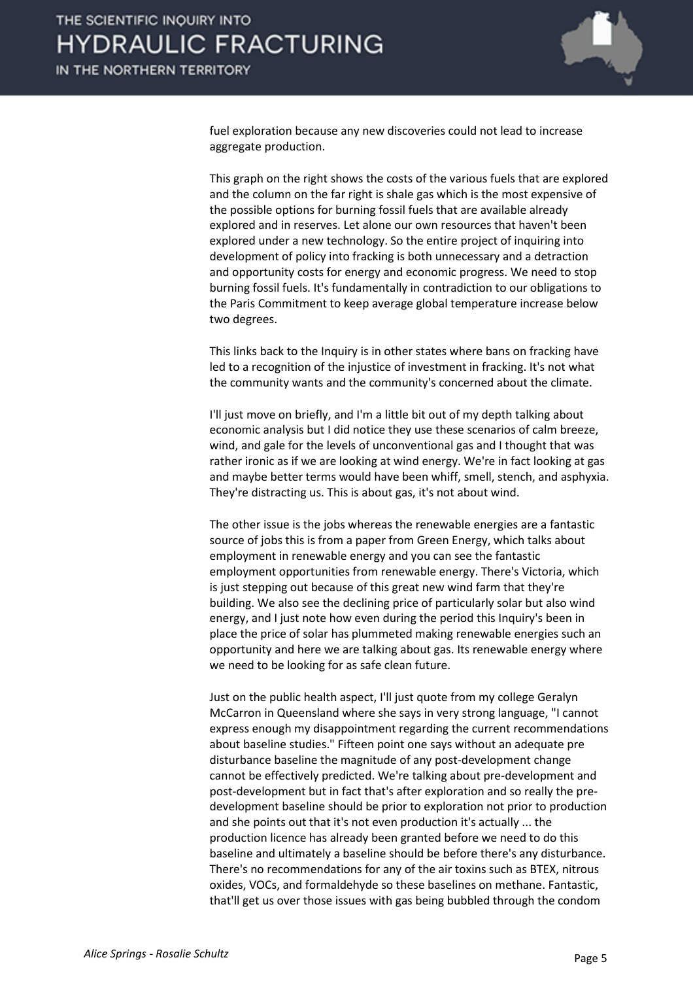

fuel exploration because any new discoveries could not lead to increase aggregate production.

This graph on the right shows the costs of the various fuels that are explored and the column on the far right is shale gas which is the most expensive of the possible options for burning fossil fuels that are available already explored and in reserves. Let alone our own resources that haven't been explored under a new technology. So the entire project of inquiring into development of policy into fracking is both unnecessary and a detraction and opportunity costs for energy and economic progress. We need to stop burning fossil fuels. It's fundamentally in contradiction to our obligations to the Paris Commitment to keep average global temperature increase below two degrees.

This links back to the Inquiry is in other states where bans on fracking have led to a recognition of the injustice of investment in fracking. It's not what the community wants and the community's concerned about the climate.

I'll just move on briefly, and I'm a little bit out of my depth talking about economic analysis but I did notice they use these scenarios of calm breeze, wind, and gale for the levels of unconventional gas and I thought that was rather ironic as if we are looking at wind energy. We're in fact looking at gas and maybe better terms would have been whiff, smell, stench, and asphyxia. They're distracting us. This is about gas, it's not about wind.

The other issue is the jobs whereas the renewable energies are a fantastic source of jobs this is from a paper from Green Energy, which talks about employment in renewable energy and you can see the fantastic employment opportunities from renewable energy. There's Victoria, which is just stepping out because of this great new wind farm that they're building. We also see the declining price of particularly solar but also wind energy, and I just note how even during the period this Inquiry's been in place the price of solar has plummeted making renewable energies such an opportunity and here we are talking about gas. Its renewable energy where we need to be looking for as safe clean future.

Just on the public health aspect, I'll just quote from my college Geralyn McCarron in Queensland where she says in very strong language, "I cannot express enough my disappointment regarding the current recommendations about baseline studies." Fifteen point one says without an adequate pre disturbance baseline the magnitude of any post-development change cannot be effectively predicted. We're talking about pre-development and post-development but in fact that's after exploration and so really the predevelopment baseline should be prior to exploration not prior to production and she points out that it's not even production it's actually ... the production licence has already been granted before we need to do this baseline and ultimately a baseline should be before there's any disturbance. There's no recommendations for any of the air toxins such as BTEX, nitrous oxides, VOCs, and formaldehyde so these baselines on methane. Fantastic, that'll get us over those issues with gas being bubbled through the condom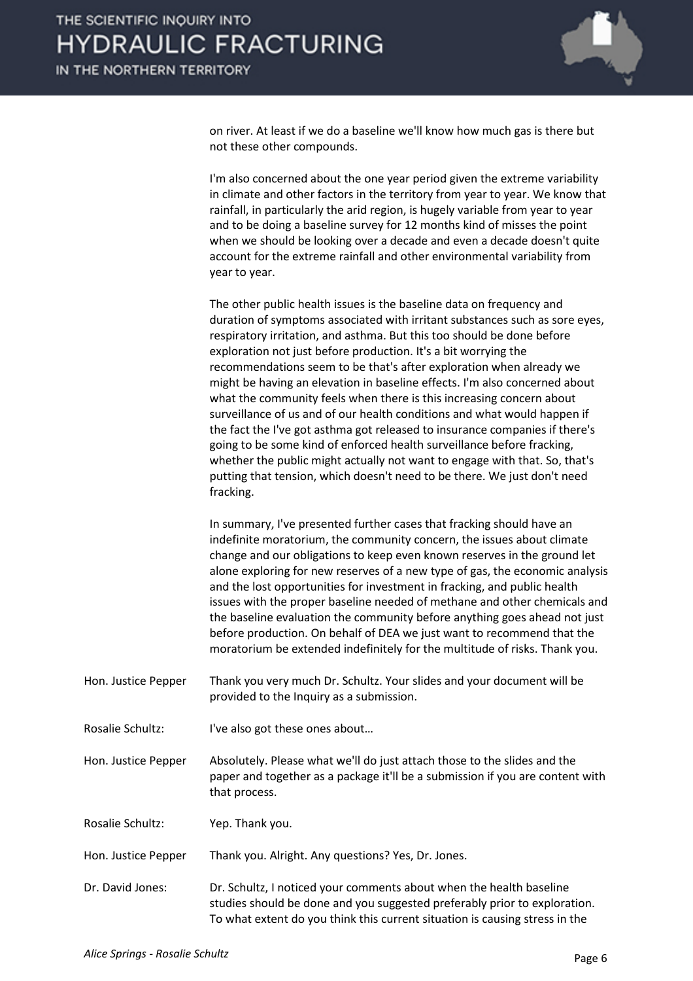

on river. At least if we do a baseline we'll know how much gas is there but not these other compounds.

I'm also concerned about the one year period given the extreme variability in climate and other factors in the territory from year to year. We know that rainfall, in particularly the arid region, is hugely variable from year to year and to be doing a baseline survey for 12 months kind of misses the point when we should be looking over a decade and even a decade doesn't quite account for the extreme rainfall and other environmental variability from year to year.

The other public health issues is the baseline data on frequency and duration of symptoms associated with irritant substances such as sore eyes, respiratory irritation, and asthma. But this too should be done before exploration not just before production. It's a bit worrying the recommendations seem to be that's after exploration when already we might be having an elevation in baseline effects. I'm also concerned about what the community feels when there is this increasing concern about surveillance of us and of our health conditions and what would happen if the fact the I've got asthma got released to insurance companies if there's going to be some kind of enforced health surveillance before fracking, whether the public might actually not want to engage with that. So, that's putting that tension, which doesn't need to be there. We just don't need fracking.

In summary, I've presented further cases that fracking should have an indefinite moratorium, the community concern, the issues about climate change and our obligations to keep even known reserves in the ground let alone exploring for new reserves of a new type of gas, the economic analysis and the lost opportunities for investment in fracking, and public health issues with the proper baseline needed of methane and other chemicals and the baseline evaluation the community before anything goes ahead not just before production. On behalf of DEA we just want to recommend that the moratorium be extended indefinitely for the multitude of risks. Thank you.

- Hon. Justice Pepper Thank you very much Dr. Schultz. Your slides and your document will be provided to the Inquiry as a submission.
- Rosalie Schultz: I've also got these ones about…

Hon. Justice Pepper Absolutely. Please what we'll do just attach those to the slides and the paper and together as a package it'll be a submission if you are content with that process.

Rosalie Schultz: Yep. Thank you.

Hon. Justice Pepper Thank you. Alright. Any questions? Yes, Dr. Jones.

Dr. David Jones: Dr. Schultz, I noticed your comments about when the health baseline studies should be done and you suggested preferably prior to exploration. To what extent do you think this current situation is causing stress in the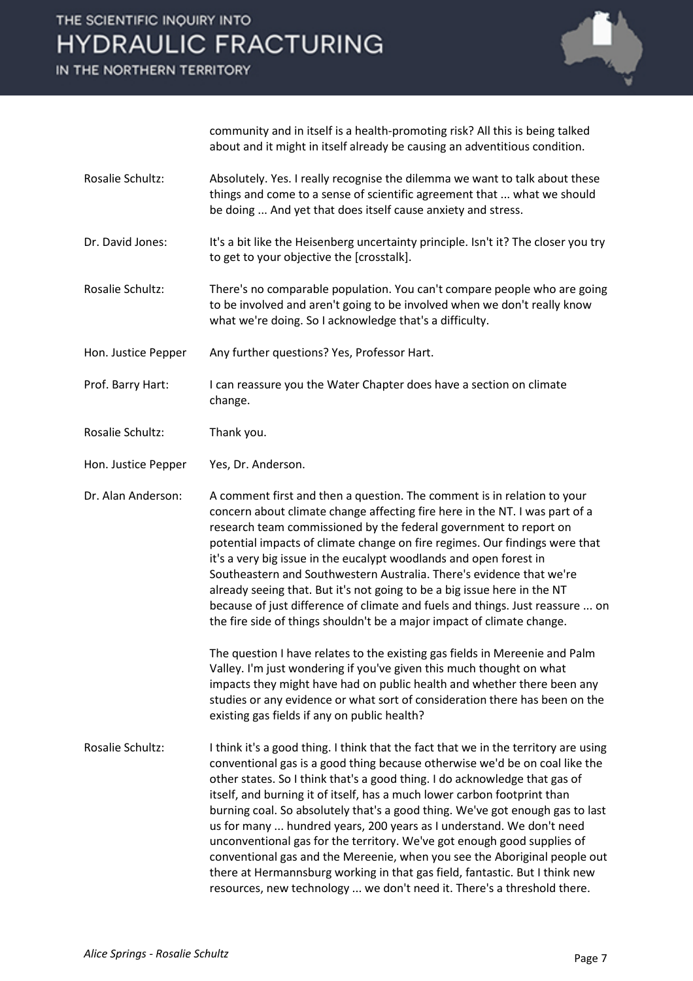## THE SCIENTIFIC INQUIRY INTO **HYDRAULIC FRACTURING**

IN THE NORTHERN TERRITORY



community and in itself is a health-promoting risk? All this is being talked about and it might in itself already be causing an adventitious condition.

- Rosalie Schultz: Absolutely. Yes. I really recognise the dilemma we want to talk about these things and come to a sense of scientific agreement that ... what we should be doing ... And yet that does itself cause anxiety and stress.
- Dr. David Jones: It's a bit like the Heisenberg uncertainty principle. Isn't it? The closer you try to get to your objective the [crosstalk].
- Rosalie Schultz: There's no comparable population. You can't compare people who are going to be involved and aren't going to be involved when we don't really know what we're doing. So I acknowledge that's a difficulty.
- Hon. Justice Pepper Any further questions? Yes, Professor Hart.
- Prof. Barry Hart: I can reassure you the Water Chapter does have a section on climate change.
- Rosalie Schultz: Thank you.
- Hon. Justice Pepper Yes, Dr. Anderson.

Dr. Alan Anderson: A comment first and then a question. The comment is in relation to your concern about climate change affecting fire here in the NT. I was part of a research team commissioned by the federal government to report on potential impacts of climate change on fire regimes. Our findings were that it's a very big issue in the eucalypt woodlands and open forest in Southeastern and Southwestern Australia. There's evidence that we're already seeing that. But it's not going to be a big issue here in the NT because of just difference of climate and fuels and things. Just reassure ... on the fire side of things shouldn't be a major impact of climate change.

> The question I have relates to the existing gas fields in Mereenie and Palm Valley. I'm just wondering if you've given this much thought on what impacts they might have had on public health and whether there been any studies or any evidence or what sort of consideration there has been on the existing gas fields if any on public health?

Rosalie Schultz: I think it's a good thing. I think that the fact that we in the territory are using conventional gas is a good thing because otherwise we'd be on coal like the other states. So I think that's a good thing. I do acknowledge that gas of itself, and burning it of itself, has a much lower carbon footprint than burning coal. So absolutely that's a good thing. We've got enough gas to last us for many ... hundred years, 200 years as I understand. We don't need unconventional gas for the territory. We've got enough good supplies of conventional gas and the Mereenie, when you see the Aboriginal people out there at Hermannsburg working in that gas field, fantastic. But I think new resources, new technology ... we don't need it. There's a threshold there.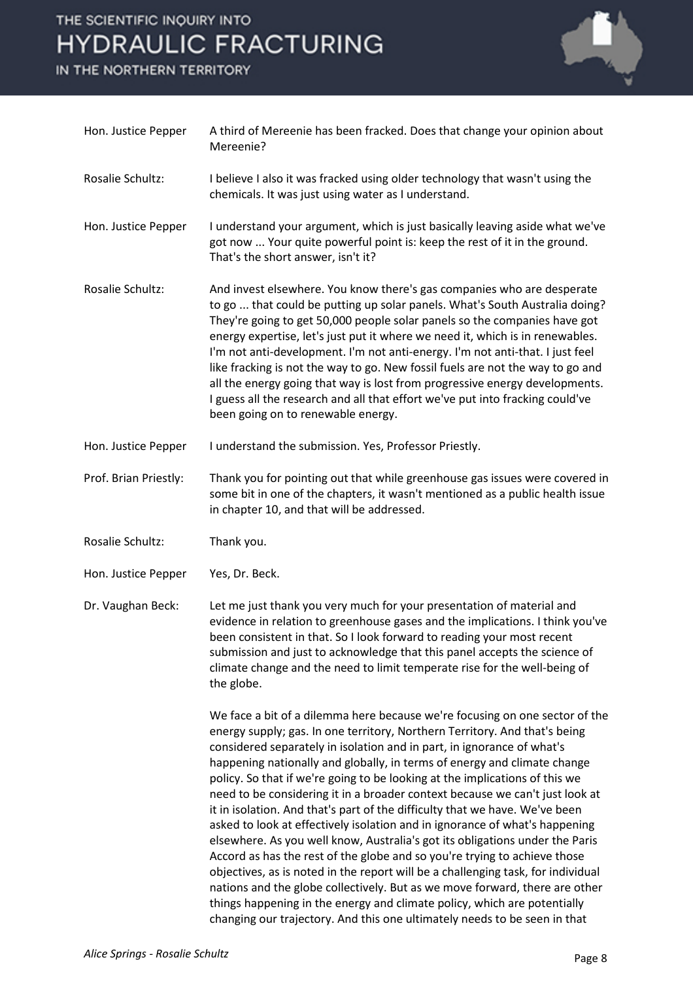# THE SCIENTIFIC INQUIRY INTO **HYDRAULIC FRACTURING**

IN THE NORTHERN TERRITORY



| Hon. Justice Pepper   | A third of Mereenie has been fracked. Does that change your opinion about<br>Mereenie?                                                                                                                                                                                                                                                                                                                                                                                                                                                                                                                                                                                                                                                                                                                                                                                                                                                                                                                                                                                                                                                |
|-----------------------|---------------------------------------------------------------------------------------------------------------------------------------------------------------------------------------------------------------------------------------------------------------------------------------------------------------------------------------------------------------------------------------------------------------------------------------------------------------------------------------------------------------------------------------------------------------------------------------------------------------------------------------------------------------------------------------------------------------------------------------------------------------------------------------------------------------------------------------------------------------------------------------------------------------------------------------------------------------------------------------------------------------------------------------------------------------------------------------------------------------------------------------|
| Rosalie Schultz:      | I believe I also it was fracked using older technology that wasn't using the<br>chemicals. It was just using water as I understand.                                                                                                                                                                                                                                                                                                                                                                                                                                                                                                                                                                                                                                                                                                                                                                                                                                                                                                                                                                                                   |
| Hon. Justice Pepper   | I understand your argument, which is just basically leaving aside what we've<br>got now  Your quite powerful point is: keep the rest of it in the ground.<br>That's the short answer, isn't it?                                                                                                                                                                                                                                                                                                                                                                                                                                                                                                                                                                                                                                                                                                                                                                                                                                                                                                                                       |
| Rosalie Schultz:      | And invest elsewhere. You know there's gas companies who are desperate<br>to go  that could be putting up solar panels. What's South Australia doing?<br>They're going to get 50,000 people solar panels so the companies have got<br>energy expertise, let's just put it where we need it, which is in renewables.<br>I'm not anti-development. I'm not anti-energy. I'm not anti-that. I just feel<br>like fracking is not the way to go. New fossil fuels are not the way to go and<br>all the energy going that way is lost from progressive energy developments.<br>I guess all the research and all that effort we've put into fracking could've<br>been going on to renewable energy.                                                                                                                                                                                                                                                                                                                                                                                                                                          |
| Hon. Justice Pepper   | I understand the submission. Yes, Professor Priestly.                                                                                                                                                                                                                                                                                                                                                                                                                                                                                                                                                                                                                                                                                                                                                                                                                                                                                                                                                                                                                                                                                 |
| Prof. Brian Priestly: | Thank you for pointing out that while greenhouse gas issues were covered in<br>some bit in one of the chapters, it wasn't mentioned as a public health issue<br>in chapter 10, and that will be addressed.                                                                                                                                                                                                                                                                                                                                                                                                                                                                                                                                                                                                                                                                                                                                                                                                                                                                                                                            |
| Rosalie Schultz:      | Thank you.                                                                                                                                                                                                                                                                                                                                                                                                                                                                                                                                                                                                                                                                                                                                                                                                                                                                                                                                                                                                                                                                                                                            |
| Hon. Justice Pepper   | Yes, Dr. Beck.                                                                                                                                                                                                                                                                                                                                                                                                                                                                                                                                                                                                                                                                                                                                                                                                                                                                                                                                                                                                                                                                                                                        |
| Dr. Vaughan Beck:     | Let me just thank you very much for your presentation of material and<br>evidence in relation to greenhouse gases and the implications. I think you've<br>been consistent in that. So I look forward to reading your most recent<br>submission and just to acknowledge that this panel accepts the science of<br>climate change and the need to limit temperate rise for the well-being of<br>the globe.                                                                                                                                                                                                                                                                                                                                                                                                                                                                                                                                                                                                                                                                                                                              |
|                       | We face a bit of a dilemma here because we're focusing on one sector of the<br>energy supply; gas. In one territory, Northern Territory. And that's being<br>considered separately in isolation and in part, in ignorance of what's<br>happening nationally and globally, in terms of energy and climate change<br>policy. So that if we're going to be looking at the implications of this we<br>need to be considering it in a broader context because we can't just look at<br>it in isolation. And that's part of the difficulty that we have. We've been<br>asked to look at effectively isolation and in ignorance of what's happening<br>elsewhere. As you well know, Australia's got its obligations under the Paris<br>Accord as has the rest of the globe and so you're trying to achieve those<br>objectives, as is noted in the report will be a challenging task, for individual<br>nations and the globe collectively. But as we move forward, there are other<br>things happening in the energy and climate policy, which are potentially<br>changing our trajectory. And this one ultimately needs to be seen in that |